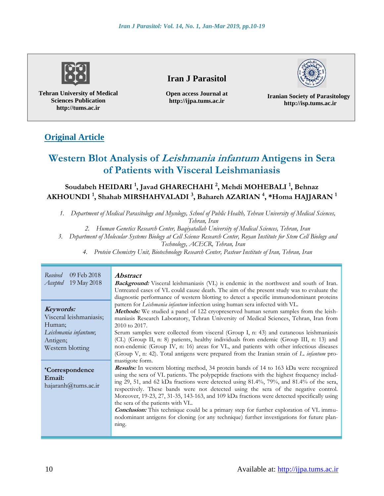

**Tehran University of Medical Sciences Publication http://tums.ac.ir**

# **Iran J Parasitol**

**Open access Journal at http://ijpa.tums.ac.ir**

**Iranian Society of Parasitology http://isp.tums.ac.ir**

# **Original Article**

# **Western Blot Analysis of Leishmania infantum Antigens in Sera of Patients with Visceral Leishmaniasis**

## **Soudabeh HEIDARI <sup>1</sup> , Javad GHARECHAHI <sup>2</sup> , Mehdi MOHEBALI <sup>1</sup> , Behnaz AKHOUNDI <sup>1</sup> , Shahab MIRSHAHVALADI <sup>3</sup> , Bahareh AZARIAN <sup>4</sup> , \*Homa HAJJARAN <sup>1</sup>**

*1. Department of Medical Parasitology and Mycology, School of Public Health, Tehran University of Medical Sciences,* 

*Tehran, Iran*

- *2. Human Genetics Research Center, Baqiyatallah University of Medical Sciences, Tehran, Iran*
- *3. Department of Molecular Systems Biology at Cell Science Research Center, Royan Institute for Stem Cell Biology and*

*Technology, ACECR, Tehran, Iran*

*4. Protein Chemistry Unit, Biotechnology Research Center, Pasteur Institute of Iran, Tehran, Iran*

| Received<br>09 Feb 2018<br>19 May 2018<br>Accepted                                                     | Abstract<br>Background: Visceral leishmaniasis (VL) is endemic in the northwest and south of Iran.<br>Untreated cases of VL could cause death. The aim of the present study was to evaluate the<br>diagnostic performance of western blotting to detect a specific immunodominant proteins                                                                                                                                                                                                                                                                                                                                                                                                                                                    |  |  |  |
|--------------------------------------------------------------------------------------------------------|-----------------------------------------------------------------------------------------------------------------------------------------------------------------------------------------------------------------------------------------------------------------------------------------------------------------------------------------------------------------------------------------------------------------------------------------------------------------------------------------------------------------------------------------------------------------------------------------------------------------------------------------------------------------------------------------------------------------------------------------------|--|--|--|
| Keywords:<br>Visceral leishmaniasis;<br>Human;<br>Leishmania infantum;<br>Antigen;<br>Western blotting | pattern for Leishmania infantum infection using human sera infected with VL.<br>Methods: We studied a panel of 122 cryopreserved human serum samples from the leish-<br>maniasis Research Laboratory, Tehran University of Medical Sciences, Tehran, Iran from<br>2010 to 2017.<br>Serum samples were collected from visceral (Group I, n: 43) and cutaneous leishmaniasis<br>(CL) (Group II, n: 8) patients, healthy individuals from endemic (Group III, n: 13) and<br>non-endemic (Group IV, n: 16) areas for VL, and patients with other infectious diseases<br>(Group V, n: 42). Total antigens were prepared from the Iranian strain of L. infantum pro-                                                                                |  |  |  |
| <i>*Correspondence</i><br>Email:<br>hajaranh@tums.ac.ir                                                | mastigote form.<br><b>Results:</b> In western blotting method, 34 protein bands of 14 to 163 kDa were recognized<br>using the sera of VL patients. The polypeptide fractions with the highest frequency includ-<br>ing 29, 51, and 62 kDa fractions were detected using 81.4%, 79%, and 81.4% of the sera,<br>respectively. These bands were not detected using the sera of the negative control.<br>Moreover, 19-23, 27, 31-35, 143-163, and 109 kDa fractions were detected specifically using<br>the sera of the patients with VL.<br><b>Conclusion:</b> This technique could be a primary step for further exploration of VL immu-<br>nodominant antigens for cloning (or any technique) further investigations for future plan-<br>ning. |  |  |  |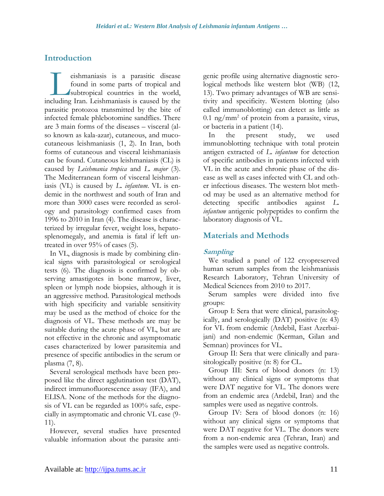## **Introduction**

eishmaniasis is a parasitic disease found in some parts of tropical and subtropical countries in the world, eishmaniasis is a parasitic disease<br>found in some parts of tropical and<br>subtropical countries in the world,<br>including Iran. Leishmaniasis is caused by the parasitic protozoa transmitted by the bite of infected female phlebotomine sandflies. There are 3 main forms of the diseases – visceral (also known as kala-azar), cutaneous, and mucocutaneous leishmaniasis (1, 2). In Iran, both forms of cutaneous and visceral leishmaniasis can be found. Cutaneous leishmaniasis (CL) is caused by *Leishmania tropica* and *L. major* (3). The Mediterranean form of visceral leishmaniasis (VL) is caused by *L. infantum.* VL is endemic in the northwest and south of Iran and more than 3000 cases were recorded as serology and parasitology confirmed cases from 1996 to 2010 in Iran (4). The disease is characterized by irregular fever, weight loss, hepatosplenomegaly, and anemia is fatal if left untreated in over 95% of cases (5).

In VL, diagnosis is made by combining clinical signs with parasitological or serological tests (6). The diagnosis is confirmed by observing amastigotes in bone marrow, liver, spleen or lymph node biopsies, although it is an aggressive method. Parasitological methods with high specificity and variable sensitivity may be used as the method of choice for the diagnosis of VL. These methods are may be suitable during the acute phase of VL, but are not effective in the chronic and asymptomatic cases characterized by lower parasitemia and presence of specific antibodies in the serum or plasma (7, 8).

Several serological methods have been proposed like the direct agglutination test (DAT), indirect immunofluorescence assay (IFA), and ELISA. None of the methods for the diagnosis of VL can be regarded as 100% safe, especially in asymptomatic and chronic VL case (9- 11).

However, several studies have presented valuable information about the parasite antigenic profile using alternative diagnostic serological methods like western blot (WB) (12, 13). Two primary advantages of WB are sensitivity and specificity. Western blotting (also called immunoblotting) can detect as little as  $0.1$  ng/mm<sup>2</sup> of protein from a parasite, virus, or bacteria in a patient (14).

In the present study, we used immunoblotting technique with total protein antigen extracted of *L. infantum* for detection of specific antibodies in patients infected with VL in the acute and chronic phase of the disease as well as cases infected with CL and other infectious diseases. The western blot method may be used as an alternative method for detecting specific antibodies against *L. infantum* antigenic polypeptides to confirm the laboratory diagnosis of VL.

## **Materials and Methods**

### **Sampling**

We studied a panel of 122 cryopreserved human serum samples from the leishmaniasis Research Laboratory, Tehran University of Medical Sciences from 2010 to 2017.

Serum samples were divided into five groups:

Group I: Sera that were clinical, parasitologically, and serologically (DAT) positive (n: 43) for VL from endemic (Ardebil, East Azerbaijani) and non-endemic (Kerman, Gilan and Semnan) provinces for VL.

Group II: Sera that were clinically and parasitologically positive (n: 8) for CL.

Group III: Sera of blood donors (n: 13) without any clinical signs or symptoms that were DAT negative for VL. The donors were from an endemic area (Ardebil, Iran) and the samples were used as negative controls.

Group IV: Sera of blood donors (n: 16) without any clinical signs or symptoms that were DAT negative for VL. The donors were from a non-endemic area (Tehran, Iran) and the samples were used as negative controls.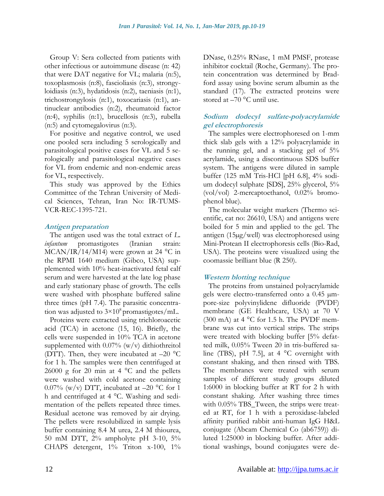Group V: Sera collected from patients with other infectious or autoimmune disease (n: 42) that were DAT negative for VL; malaria (n:5), toxoplasmosis (n:8), fascioliasis (n:3), strongyloidiasis (n:3), hydatidosis (n:2), taeniasis (n:1), trichostrongylosis (n:1), toxocariasis (n:1), antinuclear antibodies (n:2), rheumatoid factor (n:4), syphilis (n:1), brucellosis (n:3), rubella (n:5) and cytomegalovirus (n:3).

For positive and negative control, we used one pooled sera including 5 serologically and parasitological positive cases for VL and 5 serologically and parasitological negative cases for VL from endemic and non-endemic areas for VL, respectively.

This study was approved by the Ethics Committee of the Tehran University of Medical Sciences, Tehran, Iran No: IR-TUMS-VCR-REC-1395-721.

### **Antigen preparation**

The antigen used was the total extract of *L. infantum* promastigotes (Iranian strain: MCAN/IR/14/M14) were grown at 24 °C in the RPMI 1640 medium (Gibco, USA) supplemented with 10% heat-inactivated fetal calf serum and were harvested at the late log phase and early stationary phase of growth. The cells were washed with phosphate buffered saline three times (pH 7.4). The parasitic concentration was adjusted to  $3\times10^8$  promastigotes/mL.

Proteins were extracted using trichloroacetic acid (TCA) in acetone (15, 16). Briefly, the cells were suspended in 10% TCA in acetone supplemented with 0.07% (w/v) dithiothreitol (DTT). Then, they were incubated at –20 °C for 1 h. The samples were then centrifuged at 26000 g for 20 min at 4  $^{\circ}$ C and the pellets were washed with cold acetone containing 0.07% (w/v) DTT, incubated at  $-20$  °C for 1 h and centrifuged at 4 °C. Washing and sedimentation of the pellets repeated three times. Residual acetone was removed by air drying. The pellets were resolubilized in sample lysis buffer containing 8.4 M urea, 2.4 M thiourea, 50 mM DTT, 2% ampholyte pH 3-10, 5% CHAPS detergent, 1% Triton x-100, 1% DNase, 0.25% RNase, 1 mM PMSF, protease inhibitor cocktail (Roche, Germany). The protein concentration was determined by Bradford assay using bovine serum albumin as the standard (17). The extracted proteins were stored at –70 °C until use.

### **Sodium dodecyl sulfate-polyacrylamide gel electrophoresis**

The samples were electrophoresed on 1-mm thick slab gels with a 12% polyacrylamide in the running gel, and a stacking gel of 5% acrylamide, using a discontinuous SDS buffer system. The antigens were diluted in sample buffer (125 mM Tris-HCl [pH 6.8], 4% sodium dodecyl sulphate [SDS], 25% glycerol, 5% (vol/vol) 2-mercaptoethanol, 0.02% bromophenol blue).

The molecular weight markers (Thermo scientific, cat no: 26610, USA) and antigens were boiled for 5 min and applied to the gel. The antigen (15µg/well) was electrophoresed using Mini-Protean II electrophoresis cells (Bio-Rad, USA). The proteins were visualized using the coomassie brilliant blue (R 250).

### **Western blotting technique**

The proteins from unstained polyacrylamide gels were electro-transferred onto a 0.45 µmpore-size polyvinylidene difluoride (PVDF) membrane (GE Healthcare, USA) at 70 V (300 mA) at 4  $^{\circ}$ C for 1.5 h. The PVDF membrane was cut into vertical strips. The strips were treated with blocking buffer [5% defatted milk, 0.05% Tween 20 in tris-buffered saline (TBS), pH 7.5], at 4 °C overnight with constant shaking, and then rinsed with TBS. The membranes were treated with serum samples of different study groups diluted 1:6000 in blocking buffer at RT for 2 h with constant shaking. After washing three times with  $0.05\%$  TBS\_Tween, the strips were treated at RT, for 1 h with a peroxidase-labeled affinity purified rabbit anti-human IgG H&L conjugate (Abcam Chemical Co (ab6759)) diluted 1:25000 in blocking buffer. After additional washings, bound conjugates were de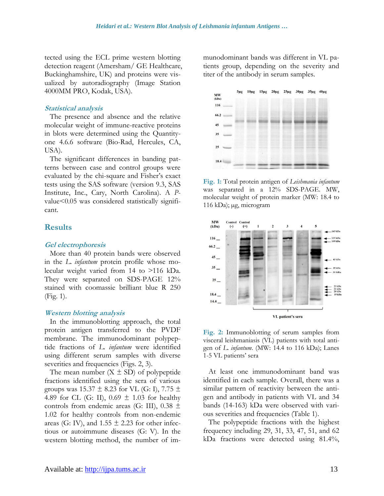tected using the ECL prime western blotting detection reagent (Amersham/ GE Healthcare, Buckinghamshire, UK) and proteins were visualized by autoradiography (Image Station 4000MM PRO, Kodak, USA).

#### **Statistical analysis**

The presence and absence and the relative molecular weight of immune-reactive proteins in blots were determined using the Quantityone 4.6.6 software (Bio-Rad, Hercules, CA, USA).

The significant differences in banding patterns between case and control groups were evaluated by the chi-square and Fisher's exact tests using the SAS software (version 9.3, SAS Institute, Inc., Cary, North Carolina). A *P*value<0.05 was considered statistically significant.

### **Results**

#### **Gel electrophoresis**

More than 40 protein bands were observed in the *L. infantum* protein profile whose molecular weight varied from 14 to >116 kDa. They were separated on SDS-PAGE 12% stained with coomassie brilliant blue R 250 (Fig. 1).

#### **Western blotting analysis**

In the immunoblotting approach, the total protein antigen transferred to the PVDF membrane. The immunodominant polypeptide fractions of *L. infantum* were identified using different serum samples with diverse severities and frequencies (Figs. 2, 3).

The mean number  $(X \pm SD)$  of polypeptide fractions identified using the sera of various groups was  $15.37 \pm 8.23$  for VL (G: I), 7.75  $\pm$ 4.89 for CL (G: II),  $0.69 \pm 1.03$  for healthy controls from endemic areas (G: III),  $0.38 \pm$ 1.02 for healthy controls from non-endemic areas (G: IV), and  $1.55 \pm 2.23$  for other infectious or autoimmune diseases (G: V). In the western blotting method, the number of immunodominant bands was different in VL patients group, depending on the severity and titer of the antibody in serum samples.



**Fig. 1:** Total protein antigen of *Leishmania infantum* was separated in a 12% SDS-PAGE. MW, molecular weight of protein marker (MW: 18.4 to 116 kDa); µg, microgram



**Fig. 2:** Immunoblotting of serum samples from visceral leishmaniasis (VL) patients with total antigen of *L. infantum*. (MW: 14.4 to 116 kDa); Lanes 1-5 VL patients' sera

At least one immunodominant band was identified in each sample. Overall, there was a similar pattern of reactivity between the antigen and antibody in patients with VL and 34 bands (14-163) kDa were observed with various severities and frequencies (Table 1).

The polypeptide fractions with the highest frequency including 29, 31, 33, 47, 51, and 62 kDa fractions were detected using 81.4%,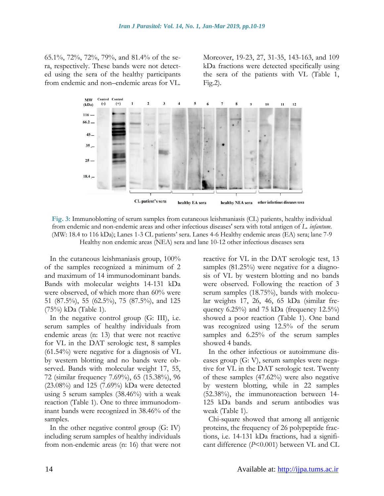65.1%, 72%, 72%, 79%, and 81.4% of the sera, respectively. These bands were not detected using the sera of the healthy participants from endemic and non–endemic areas for VL.

Moreover, 19-23, 27, 31-35, 143-163, and 109 kDa fractions were detected specifically using the sera of the patients with VL (Table 1, Fig.2).



**Fig. 3:** Immunoblotting of serum samples from cutaneous leishmaniasis (CL) patients, healthy individual from endemic and non-endemic areas and other infectious diseases' sera with total antigen of *L. infantum*. (MW: 18.4 to 116 kDa); Lanes 1-3 CL patients' sera. Lanes 4-6 Healthy endemic areas (EA) sera; lane 7-9 Healthy non endemic areas (NEA) sera and lane 10-12 other infectious diseases sera

In the cutaneous leishmaniasis group, 100% of the samples recognized a minimum of 2 and maximum of 14 immunodominant bands. Bands with molecular weights 14-131 kDa were observed, of which more than 60% were 51 (87.5%), 55 (62.5%), 75 (87.5%), and 125 (75%) kDa (Table 1).

In the negative control group (G: III), i.e. serum samples of healthy individuals from endemic areas (n: 13) that were not reactive for VL in the DAT serologic test, 8 samples (61.54%) were negative for a diagnosis of VL by western blotting and no bands were observed. Bands with molecular weight 17, 55, 72 (similar frequency 7.69%), 65 (15.38%), 96 (23.08%) and 125 (7.69%) kDa were detected using 5 serum samples (38.46%) with a weak reaction (Table 1). One to three immunodominant bands were recognized in 38.46% of the samples.

In the other negative control group (G: IV) including serum samples of healthy individuals from non-endemic areas (n: 16) that were not reactive for VL in the DAT serologic test, 13 samples (81.25%) were negative for a diagnosis of VL by western blotting and no bands were observed. Following the reaction of 3 serum samples (18.75%), bands with molecular weights 17, 26, 46, 65 kDa (similar frequency  $6.25\%$ ) and 75 kDa (frequency  $12.5\%$ ) showed a poor reaction (Table 1). One band was recognized using 12.5% of the serum samples and 6.25% of the serum samples showed 4 bands.

In the other infectious or autoimmune diseases group (G: V), serum samples were negative for VL in the DAT serologic test. Twenty of these samples (47.62%) were also negative by western blotting, while in 22 samples (52.38%), the immunoreaction between 14- 125 kDa bands and serum antibodies was weak (Table 1).

Chi-square showed that among all antigenic proteins, the frequency of 26 polypeptide fractions, i.e. 14-131 kDa fractions, had a significant difference (*P*<0.001) between VL and CL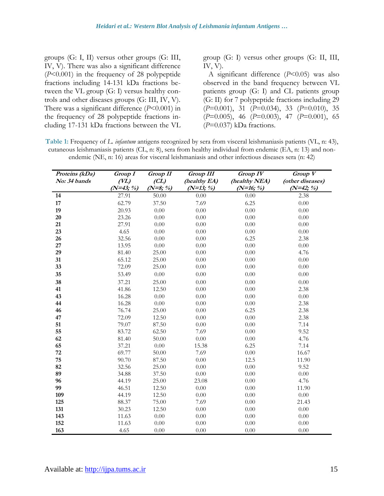groups (G: I, II) versus other groups (G: III, IV, V). There was also a significant difference (*P*<0.001) in the frequency of 28 polypeptide fractions including 14-131 kDa fractions between the VL group (G: I) versus healthy controls and other diseases groups (G: III, IV, V). There was a significant difference (*P*<0.001) in the frequency of 28 polypeptide fractions including 17-131 kDa fractions between the VL

group (G: I) versus other groups (G: II, III, IV, V).

A significant difference (*P*<0.05) was also observed in the band frequency between VL patients group (G: I) and CL patients group (G: II) for 7 polypeptide fractions including 29 (*P*=0.001), 31 (*P*=0.034), 33 (*P*=0.010), 35 (*P*=0.005), 46 (*P*=0.003), 47 (*P*=0.001), 65 (*P*=0.037) kDa fractions.

**Table 1:** Frequency of *L. infantum* antigens recognized by sera from visceral leishmaniasis patients (VL, n: 43), cutaneous leishmaniasis patients (CL, n: 8), sera from healthy individual from endemic (EA, n: 13) and nonendemic (NE, n: 16) areas for visceral leishmaniasis and other infectious diseases sera (n: 42)

| Proteins (kDa) | Group I    | <b>Group II</b> | <b>Group III</b> | <b>Group IV</b> | Group V          |
|----------------|------------|-----------------|------------------|-----------------|------------------|
| No: 34 bands   | (VL)       | CL)             | (healthy EA)     | (healthy NEA)   | (other diseases) |
|                | $(N=43; %$ | $(N=8; %$       | $(N=13; %$       | $(N=16; %$      | $(N=42; %$       |
| 14             | 27.91      | 50.00           | 0.00             | 0.00            | 2.38             |
| 17             | 62.79      | 37.50           | 7.69             | 6.25            | 0.00             |
| 19             | 20.93      | 0.00            | 0.00             | 0.00            | 0.00             |
| 20             | 23.26      | 0.00            | 0.00             | 0.00            | 0.00             |
| 21             | 27.91      | 0.00            | 0.00             | 0.00            | 0.00             |
| 23             | 4.65       | 0.00            | 0.00             | 0.00            | 0.00             |
| 26             | 32.56      | 0.00            | 0.00             | 6.25            | 2.38             |
| 27             | 13.95      | 0.00            | 0.00             | 0.00            | 0.00             |
| 29             | 81.40      | 25.00           | 0.00             | 0.00            | 4.76             |
| 31             | 65.12      | 25.00           | 0.00             | 0.00            | 0.00             |
| 33             | 72.09      | 25.00           | 0.00             | 0.00            | 0.00             |
| 35             | 53.49      | 0.00            | 0.00             | 0.00            | 0.00             |
| 38             | 37.21      | 25.00           | 0.00             | 0.00            | 0.00             |
| 41             | 41.86      | 12.50           | 0.00             | 0.00            | 2.38             |
| 43             | 16.28      | 0.00            | 0.00             | 0.00            | 0.00             |
| 44             | 16.28      | 0.00            | 0.00             | 0.00            | 2.38             |
| 46             | 76.74      | 25.00           | 0.00             | 6.25            | 2.38             |
| 47             | 72.09      | 12.50           | 0.00             | 0.00            | 2.38             |
| 51             | 79.07      | 87.50           | 0.00             | 0.00            | 7.14             |
| 55             | 83.72      | 62.50           | 7.69             | 0.00            | 9.52             |
| 62             | 81.40      | 50.00           | 0.00             | 0.00            | 4.76             |
| 65             | 37.21      | 0.00            | 15.38            | 6.25            | 7.14             |
| 72             | 69.77      | 50.00           | 7.69             | 0.00            | 16.67            |
| 75             | 90.70      | 87.50           | 0.00             | 12.5            | 11.90            |
| 82             | 32.56      | 25.00           | 0.00             | 0.00            | 9.52             |
| 89             | 34.88      | 37.50           | 0.00             | 0.00            | 0.00             |
| 96             | 44.19      | 25.00           | 23.08            | 0.00            | 4.76             |
| 99             | 46.51      | 12.50           | 0.00             | 0.00            | 11.90            |
| 109            | 44.19      | 12.50           | 0.00             | 0.00            | 0.00             |
| 125            | 88.37      | 75.00           | 7.69             | 0.00            | 21.43            |
| 131            | 30.23      | 12.50           | 0.00             | 0.00            | 0.00             |
| 143            | 11.63      | 0.00            | 0.00             | 0.00            | 0.00             |
| 152            | 11.63      | 0.00            | 0.00             | 0.00            | 0.00             |
| 163            | 4.65       | 0.00            | 0.00             | $0.00\,$        | 0.00             |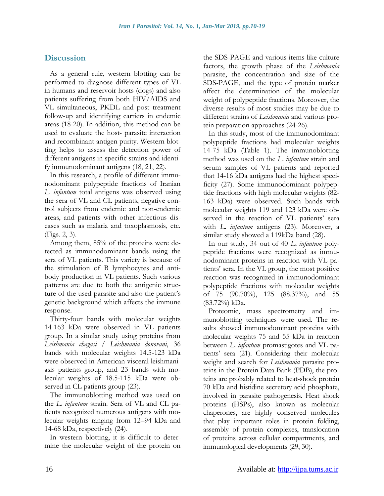## **Discussion**

As a general rule, western blotting can be performed to diagnose different types of VL in humans and reservoir hosts (dogs) and also patients suffering from both HIV/AIDS and VL simultaneous, PKDL and post treatment follow-up and identifying carriers in endemic areas (18-20). In addition, this method can be used to evaluate the host- parasite interaction and recombinant antigen purity. Western blotting helps to assess the detection power of different antigens in specific strains and identify immunodominant antigens (18, 21, 22).

In this research, a profile of different immunodominant polypeptide fractions of Iranian *L. infantum* total antigens was observed using the sera of VL and CL patients, negative control subjects from endemic and non-endemic areas, and patients with other infectious diseases such as malaria and toxoplasmosis, etc. (Figs. 2, 3).

Among them, 85% of the proteins were detected as immunodominant bands using the sera of VL patients. This variety is because of the stimulation of B lymphocytes and antibody production in VL patients. Such various patterns are due to both the antigenic structure of the used parasite and also the patient's genetic background which affects the immune response.

Thirty-four bands with molecular weights 14-163 kDa were observed in VL patients group. In a similar study using proteins from *Leishmania chagasi* / *Leishmania donovani*, 36 bands with molecular weights 14.5-123 kDa were observed in American visceral leishmaniasis patients group, and 23 bands with molecular weights of 18.5-115 kDa were observed in CL patients group (23).

The immunoblotting method was used on the *L. infantum* strain. Sera of VL and CL patients recognized numerous antigens with molecular weights ranging from 12–94 kDa and 14-68 kDa, respectively (24).

In western blotting, it is difficult to determine the molecular weight of the protein on the SDS-PAGE and various items like culture factors, the growth phase of the *Leishmania* parasite, the concentration and size of the SDS-PAGE, and the type of protein marker affect the determination of the molecular weight of polypeptide fractions. Moreover, the diverse results of most studies may be due to different strains of *Leishmania* and various protein preparation approaches (24-26).

In this study, most of the immunodominant polypeptide fractions had molecular weights 14-75 kDa (Table 1). The immunoblotting method was used on the *L. infantum* strain and serum samples of VL patients and reported that 14-16 kDa antigens had the highest specificity (27). Some immunodominant polypeptide fractions with high molecular weights (82- 163 kDa) were observed. Such bands with molecular weights 119 and 123 kDa were observed in the reaction of VL patients' sera with *L. infantum* antigens (23). Moreover, a similar study showed a 119kDa band (28).

In our study, 34 out of 40 *L. infantum* polypeptide fractions were recognized as immunodominant proteins in reaction with VL patients' sera. In the VL group, the most positive reaction was recognized in immunodominant polypeptide fractions with molecular weights of 75 (90.70%), 125 (88.37%), and 55 (83.72%) kDa.

Proteomic, mass spectrometry and immunoblotting techniques were used. The results showed immunodominant proteins with molecular weights 75 and 55 kDa in reaction between *L. infantum* promastigotes and VL patients' sera (21). Considering their molecular weight and search for *Leishmania* parasite proteins in the Protein Data Bank (PDB), the proteins are probably related to heat-shock protein 70 kDa and histidine secretory acid phosphate, involved in parasite pathogenesis. Heat shock proteins (HSPs), also known as molecular chaperones, are highly conserved molecules that play important roles in protein folding, assembly of protein complexes, translocation of proteins across cellular compartments, and immunological developments (29, 30).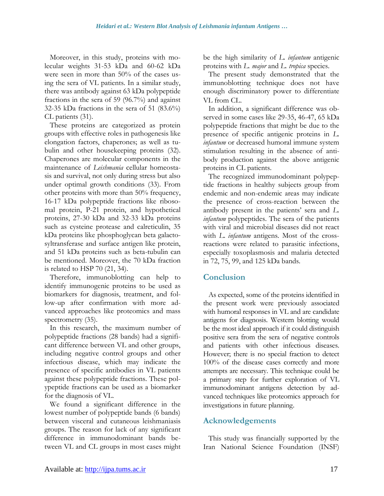Moreover, in this study, proteins with molecular weights 31-53 kDa and 60-62 kDa were seen in more than 50% of the cases using the sera of VL patients. In a similar study, there was antibody against 63 kDa polypeptide fractions in the sera of 59 (96.7%) and against 32-35 kDa fractions in the sera of 51 (83.6%) CL patients (31).

These proteins are categorized as protein groups with effective roles in pathogenesis like elongation factors, chaperones; as well as tubulin and other housekeeping proteins (32). Chaperones are molecular components in the maintenance of *Leishmania* cellular homeostasis and survival, not only during stress but also under optimal growth conditions (33). From other proteins with more than 50% frequency, 16-17 kDa polypeptide fractions like ribosomal protein, P-21 protein, and hypothetical proteins, 27-30 kDa and 32-33 kDa proteins such as cysteine protease and calreticulin, 35 kDa proteins like phosphoglycan beta galactosyltransferase and surface antigen like protein, and 51 kDa proteins such as beta-tubulin can be mentioned. Moreover, the 70 kDa fraction is related to HSP 70 (21, 34).

Therefore, immunoblotting can help to identify immunogenic proteins to be used as biomarkers for diagnosis, treatment, and follow-up after confirmation with more advanced approaches like proteomics and mass spectrometry  $(35)$ .

In this research, the maximum number of polypeptide fractions (28 bands) had a significant difference between VL and other groups, including negative control groups and other infectious disease, which may indicate the presence of specific antibodies in VL patients against these polypeptide fractions. These polypeptide fractions can be used as a biomarker for the diagnosis of VL.

We found a significant difference in the lowest number of polypeptide bands (6 bands) between visceral and cutaneous leishmaniasis groups. The reason for lack of any significant difference in immunodominant bands between VL and CL groups in most cases might be the high similarity of *L. infantum* antigenic proteins with *L. major* and *L. tropica* species.

The present study demonstrated that the immunoblotting technique does not have enough discriminatory power to differentiate VL from CL.

In addition, a significant difference was observed in some cases like 29-35, 46-47, 65 kDa polypeptide fractions that might be due to the presence of specific antigenic proteins in *L. infantum* or decreased humoral immune system stimulation resulting in the absence of antibody production against the above antigenic proteins in CL patients.

The recognized immunodominant polypeptide fractions in healthy subjects group from endemic and non-endemic areas may indicate the presence of cross-reaction between the antibody present in the patients' sera and *L. infantum* polypeptides. The sera of the patients with viral and microbial diseases did not react with *L. infantum* antigens. Most of the crossreactions were related to parasitic infections, especially toxoplasmosis and malaria detected in 72, 75, 99, and 125 kDa bands.

### **Conclusion**

As expected, some of the proteins identified in the present work were previously associated with humoral responses in VL and are candidate antigens for diagnosis. Western blotting would be the most ideal approach if it could distinguish positive sera from the sera of negative controls and patients with other infectious diseases. However; there is no special fraction to detect 100% of the disease cases correctly and more attempts are necessary. This technique could be a primary step for further exploration of VL immunodominant antigens detection by advanced techniques like proteomics approach for investigations in future planning.

# **Acknowledgements**

This study was financially supported by the Iran National Science Foundation (INSF)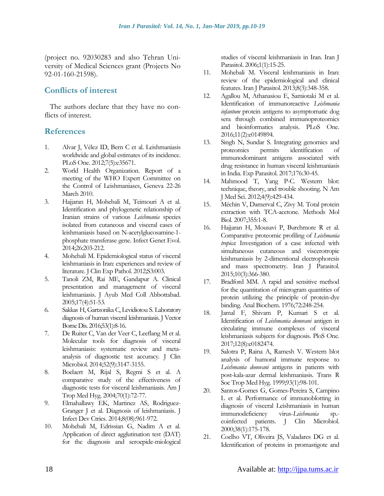(project no. 92030283 and also Tehran University of Medical Sciences grant (Projects No 92-01-160-21598).

### **Conflicts of interest**

The authors declare that they have no conflicts of interest.

### **References**

- 1. Alvar J, Vélez ID, Bern C et al. Leishmaniasis worldwide and global estimates of its incidence. PLoS One. 2012;7(5):e35671.
- 2. World Health Organization. Report of a meeting of the WHO Expert Committee on the Control of Leishmaniases, Geneva 22-26 March 2010.
- 3. Hajjaran H, Mohebali M, Teimouri A et al. Identification and phylogenetic relationship of Iranian strains of various *Leishmania* species isolated from cutaneous and visceral cases of leishmaniasis based on N-acetylglucosamine-1 phosphate transferase gene. Infect Genet Evol. 2014;26:203-212.
- 4. Mohebali M. Epidemiological status of visceral leishmaniasis in Iran: experiences and review of literature. J Clin Exp Pathol. 2012;S3:003.
- 5. Tanoli ZM, Rai ME, Gandapur A. Clinical presentation and management of visceral leishmaniasis. J Ayub Med Coll Abbottabad. 2005;17(4):51-53.
- 6. Sakkas H, Gartzonika C, Levidiotou S. Laboratory diagnosis of human visceral leishmaniasis. J Vector Borne Dis. 2016;53(1):8-16.
- 7. De Ruiter C, Van der Veer C, Leeflang M et al. Molecular tools for diagnosis of visceral leishmaniasis: systematic review and metaanalysis of diagnostic test accuracy. J Clin Microbiol. 2014;52(9):3147-3155.
- 8. Boelaert M, Rijal S, Regmi S et al. A comparative study of the effectiveness of diagnostic tests for visceral leishmaniasis. Am J Trop Med Hyg. 2004;70(1):72-77.
- 9. Elmahallawy EK, Martinez AS, Rodriguez-Granger J et al. Diagnosis of leishmaniasis. J Infect Dev Ctries. 2014;8(08):961-972.
- 10. Mohebali M, Edrissian G, Nadim A et al. Application of direct agglutination test (DAT) for the diagnosis and seroepide-miological

studies of visceral leishmaniasis in Iran. Iran J Parasitol. 2006;1(1):15-25.

- 11. Mohebali M. Visceral leishmaniasis in Iran: review of the epidemiological and clinical features. Iran J Parasitol. 2013;8(3):348-358.
- 12. Agallou M, Athanasiou E, Samiotaki M et al. Identification of immunoreactive *Leishmania infantum* protein antigens to asymptomatic dog sera through combined immunoproteomics and bioinformatics analysis. PLoS One. 2016;11(2):e0149894.
- 13. Singh N, Sundar S. Integrating genomics and proteomics permits identification of immunodominant antigens associated with drug resistance in human visceral leishmaniasis in India. Exp Parasitol. 2017;176:30-45.
- 14. Mahmood T, Yang P-C. Western blot: technique, theory, and trouble shooting. N Am J Med Sci. 2012;4(9):429-434.
- 15. Méchin V, Damerval C, Zivy M. Total protein extraction with TCA-acetone. Methods Mol Biol. 2007;355:1-8.
- 16. Hajjaran H, Mousavi P, Burchmore R et al. Comparative proteomic profiling of *Leishmania tropica*: Investigation of a case infected with simultaneous cutaneous and viscerotropic leishmaniasis by 2-dimentional electrophoresis and mass spectrometry. Iran J Parasitol. 2015;10(3):366-380.
- 17. Bradford MM. A rapid and sensitive method for the quantitation of microgram quantities of protein utilizing the principle of protein-dye binding. Anal Biochem. 1976;72:248-254.
- 18. Jamal F, Shivam P, Kumari S et al. Identification of *Leishmania donovani* antigen in circulating immune complexes of visceral leishmaniasis subjects for diagnosis. PloS One. 2017;12(8):e0182474.
- 19. Salotra P, Raina A, Ramesh V. Western blot analysis of humoral immune response to *Leishmania donovani* antigens in patients with post-kala-azar dermal leishmaniasis. Trans R Soc Trop Med Hyg. 1999;93(1):98-101.
- 20. Santos-Gomes G, Gomes-Pereira S, Campino L et al. Performance of immunoblotting in diagnosis of visceral Leishmaniasis in human immunodeficiency virus-*Leishmania* sp. coinfected patients. J Clin Microbiol. 2000;38(1):175-178.
- 21. Coelho VT, Oliveira JS, Valadares DG et al. Identification of proteins in promastigote and